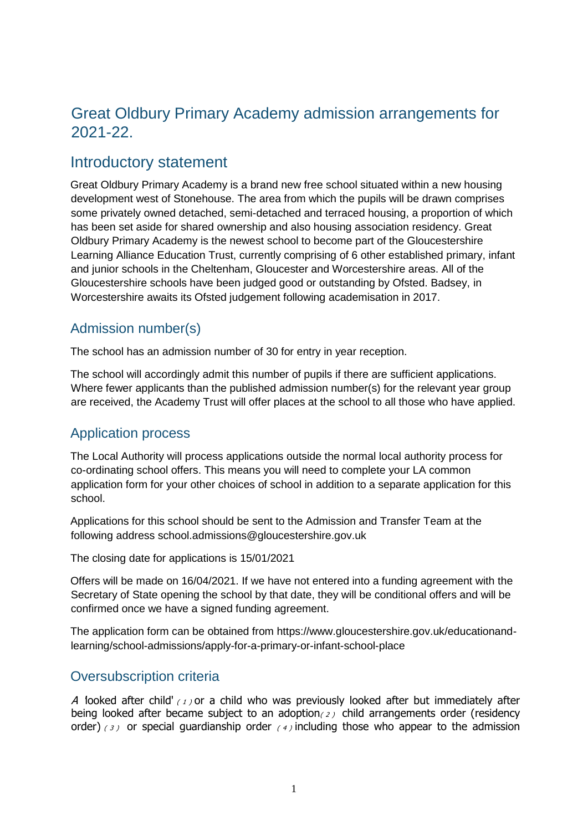# Great Oldbury Primary Academy admission arrangements for 2021-22.

# Introductory statement

Great Oldbury Primary Academy is a brand new free school situated within a new housing development west of Stonehouse. The area from which the pupils will be drawn comprises some privately owned detached, semi-detached and terraced housing, a proportion of which has been set aside for shared ownership and also housing association residency. Great Oldbury Primary Academy is the newest school to become part of the Gloucestershire Learning Alliance Education Trust, currently comprising of 6 other established primary, infant and junior schools in the Cheltenham, Gloucester and Worcestershire areas. All of the Gloucestershire schools have been judged good or outstanding by Ofsted. Badsey, in Worcestershire awaits its Ofsted judgement following academisation in 2017.

# Admission number(s)

The school has an admission number of 30 for entry in year reception.

The school will accordingly admit this number of pupils if there are sufficient applications. Where fewer applicants than the published admission number(s) for the relevant year group are received, the Academy Trust will offer places at the school to all those who have applied.

### Application process

The Local Authority will process applications outside the normal local authority process for co-ordinating school offers. This means you will need to complete your LA common application form for your other choices of school in addition to a separate application for this school.

Applications for this school should be sent to the Admission and Transfer Team at the following address school.admissions@gloucestershire.gov.uk

The closing date for applications is 15/01/2021

Offers will be made on 16/04/2021. If we have not entered into a funding agreement with the Secretary of State opening the school by that date, they will be conditional offers and will be confirmed once we have a signed funding agreement.

The application form can be obtained from https://www.gloucestershire.gov.uk/educationandlearning/school-admissions/apply-for-a-primary-or-infant-school-place

### Oversubscription criteria

A looked after child'  $(1)$  or a child who was previously looked after but immediately after being looked after became subject to an adoption( $2$ ) child arrangements order (residency order) (3) or special guardianship order (4) including those who appear to the admission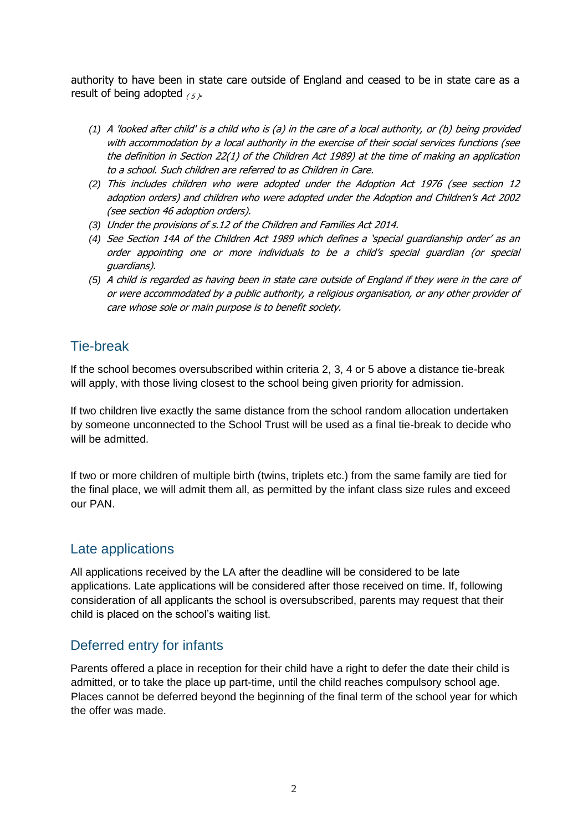authority to have been in state care outside of England and ceased to be in state care as a result of being adopted  $(5)$ .

- *(1)* A 'looked after child' is a child who is (a) in the care of a local authority, or (b) being provided with accommodation by a local authority in the exercise of their social services functions (see the definition in Section 22(1) of the Children Act 1989) at the time of making an application to a school. Such children are referred to as Children in Care.
- *(2)* This includes children who were adopted under the Adoption Act 1976 (see section 12 adoption orders) and children who were adopted under the Adoption and Children's Act 2002 (see section 46 adoption orders).
- *(3)* Under the provisions of s.12 of the Children and Families Act 2014.
- *(4)* See Section 14A of the Children Act 1989 which defines a 'special guardianship order' as an order appointing one or more individuals to be a child's special guardian (or special guardians).
- *(5)* A child is regarded as having been in state care outside of England if they were in the care of or were accommodated by a public authority, a religious organisation, or any other provider of care whose sole or main purpose is to benefit society.

### Tie-break

If the school becomes oversubscribed within criteria 2, 3, 4 or 5 above a distance tie-break will apply, with those living closest to the school being given priority for admission.

If two children live exactly the same distance from the school random allocation undertaken by someone unconnected to the School Trust will be used as a final tie-break to decide who will be admitted.

If two or more children of multiple birth (twins, triplets etc.) from the same family are tied for the final place, we will admit them all, as permitted by the infant class size rules and exceed our PAN.

### Late applications

All applications received by the LA after the deadline will be considered to be late applications. Late applications will be considered after those received on time. If, following consideration of all applicants the school is oversubscribed, parents may request that their child is placed on the school's waiting list.

# Deferred entry for infants

Parents offered a place in reception for their child have a right to defer the date their child is admitted, or to take the place up part-time, until the child reaches compulsory school age. Places cannot be deferred beyond the beginning of the final term of the school year for which the offer was made.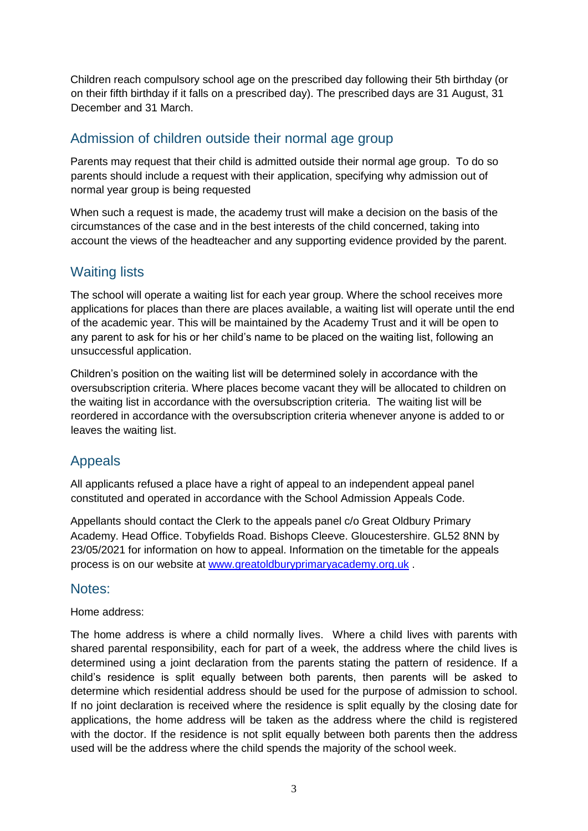Children reach compulsory school age on the prescribed day following their 5th birthday (or on their fifth birthday if it falls on a prescribed day). The prescribed days are 31 August, 31 December and 31 March.

### Admission of children outside their normal age group

Parents may request that their child is admitted outside their normal age group. To do so parents should include a request with their application, specifying why admission out of normal year group is being requested

When such a request is made, the academy trust will make a decision on the basis of the circumstances of the case and in the best interests of the child concerned, taking into account the views of the headteacher and any supporting evidence provided by the parent.

# Waiting lists

The school will operate a waiting list for each year group. Where the school receives more applications for places than there are places available, a waiting list will operate until the end of the academic year. This will be maintained by the Academy Trust and it will be open to any parent to ask for his or her child's name to be placed on the waiting list, following an unsuccessful application.

Children's position on the waiting list will be determined solely in accordance with the oversubscription criteria. Where places become vacant they will be allocated to children on the waiting list in accordance with the oversubscription criteria. The waiting list will be reordered in accordance with the oversubscription criteria whenever anyone is added to or leaves the waiting list.

# Appeals

All applicants refused a place have a right of appeal to an independent appeal panel constituted and operated in accordance with the School Admission Appeals Code.

Appellants should contact the Clerk to the appeals panel c/o Great Oldbury Primary Academy. Head Office. Tobyfields Road. Bishops Cleeve. Gloucestershire. GL52 8NN by 23/05/2021 for information on how to appeal. Information on the timetable for the appeals process is on our website at www.greatoldburyprimaryacademy.org.uk .

#### Notes:

#### Home address:

The home address is where a child normally lives. Where a child lives with parents with shared parental responsibility, each for part of a week, the address where the child lives is determined using a joint declaration from the parents stating the pattern of residence. If a child's residence is split equally between both parents, then parents will be asked to determine which residential address should be used for the purpose of admission to school. If no joint declaration is received where the residence is split equally by the closing date for applications, the home address will be taken as the address where the child is registered with the doctor. If the residence is not split equally between both parents then the address used will be the address where the child spends the majority of the school week.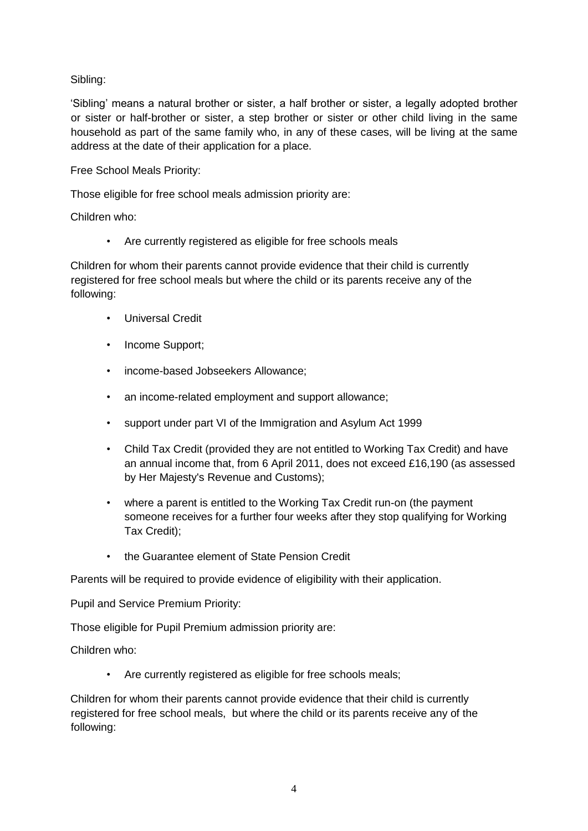Sibling:

'Sibling' means a natural brother or sister, a half brother or sister, a legally adopted brother or sister or half-brother or sister, a step brother or sister or other child living in the same household as part of the same family who, in any of these cases, will be living at the same address at the date of their application for a place.

Free School Meals Priority:

Those eligible for free school meals admission priority are:

Children who:

• Are currently registered as eligible for free schools meals

Children for whom their parents cannot provide evidence that their child is currently registered for free school meals but where the child or its parents receive any of the following:

- Universal Credit
- Income Support;
- income-based Jobseekers Allowance;
- an income-related employment and support allowance;
- support under part VI of the Immigration and Asylum Act 1999
- Child Tax Credit (provided they are not entitled to Working Tax Credit) and have an annual income that, from 6 April 2011, does not exceed £16,190 (as assessed by Her Majesty's Revenue and Customs);
- where a parent is entitled to the Working Tax Credit run-on (the payment someone receives for a further four weeks after they stop qualifying for Working Tax Credit);
- the Guarantee element of State Pension Credit

Parents will be required to provide evidence of eligibility with their application.

Pupil and Service Premium Priority:

Those eligible for Pupil Premium admission priority are:

Children who:

Are currently registered as eligible for free schools meals;

Children for whom their parents cannot provide evidence that their child is currently registered for free school meals, but where the child or its parents receive any of the following: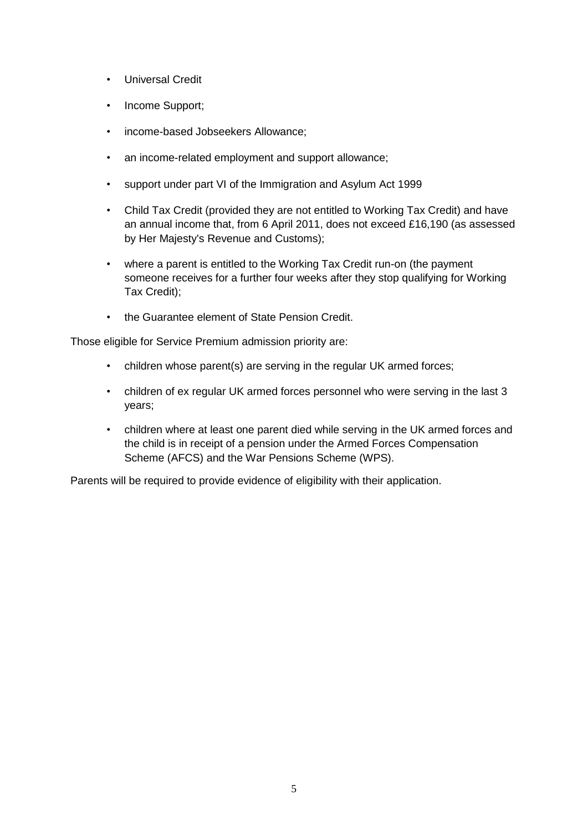- Universal Credit
- Income Support;
- income-based Jobseekers Allowance;
- an income-related employment and support allowance;
- support under part VI of the Immigration and Asylum Act 1999
- Child Tax Credit (provided they are not entitled to Working Tax Credit) and have an annual income that, from 6 April 2011, does not exceed £16,190 (as assessed by Her Majesty's Revenue and Customs);
- where a parent is entitled to the Working Tax Credit run-on (the payment someone receives for a further four weeks after they stop qualifying for Working Tax Credit);
- the Guarantee element of State Pension Credit.

Those eligible for Service Premium admission priority are:

- children whose parent(s) are serving in the regular UK armed forces;
- children of ex regular UK armed forces personnel who were serving in the last 3 years;
- children where at least one parent died while serving in the UK armed forces and the child is in receipt of a pension under the Armed Forces Compensation Scheme (AFCS) and the War Pensions Scheme (WPS).

Parents will be required to provide evidence of eligibility with their application.